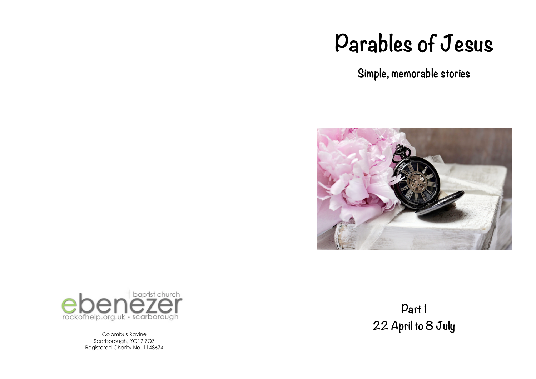# **Parables of Jesus**

**Simple, memorable stories**





Colombus Ravine Scarborough, YO12 7QZ Registered Charity No. 1148674

**Part 1 22 April to 8 July**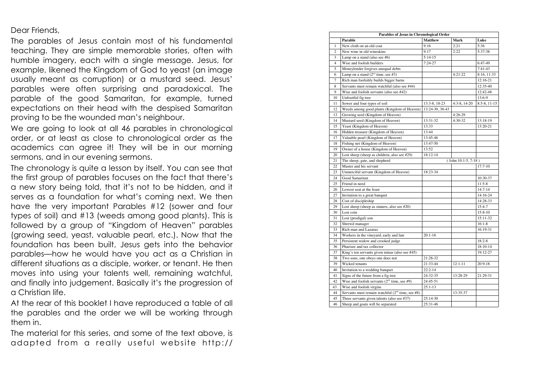Dear Friends,

The parables of Jesus contain most of his fundamental teaching. They are simple memorable stories, often with humble imagery, each with a single message. Jesus, for example, likened the Kingdom of God to yeast (an image usually meant as corruption) or a mustard seed. Jesus' parables were often surprising and paradoxical. The parable of the good Samaritan, for example, turned expectations on their head with the despised Samaritan proving to be the wounded man's neighbour.

We are going to look at all 46 parables in chronological order, or at least as close to chronological order as the academics can agree it! They will be in our morning sermons, and in our evening sermons.

The chronology is quite a lesson by itself. You can see that the first group of parables focuses on the fact that there's a new story being told, that it's not to be hidden, and it serves as a foundation for what's coming next. We then have the very important Parables #12 (sower and four types of soil) and #13 (weeds among good plants). This is followed by a group of "Kingdom of Heaven" parables (growing seed, yeast, valuable pearl, etc.). Now that the foundation has been built, Jesus gets into the behavior parables—how he would have you act as a Christian in different situations as a disciple, worker, or tenant. He then moves into using your talents well, remaining watchful, and finally into judgement. Basically it's the progression of a Christian life.

At the rear of this booklet I have reproduced a table of all the parables and the order we will be working through them in.

The material for this series, and some of the text above, is adapted from a really useful website http://

| Parables of Jesus in Chronological Order |                                                    |                       |               |              |  |  |
|------------------------------------------|----------------------------------------------------|-----------------------|---------------|--------------|--|--|
|                                          | Parable                                            | <b>Matthew</b>        | Mark          | Luke         |  |  |
| $\mathbf{1}$                             | New cloth on an old coat                           | 9:16                  | 2:21          | 5:36         |  |  |
| $\overline{c}$                           | New wine in old wineskins                          | 9:17                  | 2:22          | 5:37-38      |  |  |
| 3                                        | Lamp on a stand (also see #6)                      | $5:14-15$             |               |              |  |  |
| $\overline{4}$                           | Wise and foolish builders                          | $7:24-27$             |               | $6:47-49$    |  |  |
| 5                                        | Moneylender forgives unequal debts                 |                       |               | $7:41-43$    |  |  |
| 6                                        | Lamp on a stand $(2nd$ time, see #3)               |                       | $4:21-22$     | 8:16, 11:33  |  |  |
| $\overline{7}$                           | Rich man foolishly builds bigger barns             |                       |               | 12:16-21     |  |  |
| 8                                        | Servants must remain watchful (also see #44)       |                       |               | 12:35-40     |  |  |
| 9                                        | Wise and foolish servants (also see #42)           |                       |               | 12:42-48     |  |  |
| 10                                       | Unfruitful fig tree                                |                       |               | 13:6-9       |  |  |
| 11                                       | Sower and four types of soil                       | 13:3-8, 18-23         | $4:3-8,14-20$ | 8:5-8, 11-15 |  |  |
| 12                                       | Weeds among good plants (Kingdom of Heaven)        | 13:24-30, 36-43       |               |              |  |  |
| 13                                       | Growing seed (Kingdom of Heaven)                   |                       | $4:26-29$     |              |  |  |
| 14                                       | Mustard seed (Kingdom of Heaven)                   | 13:31-32              | $4:30-32$     | 13:18-19     |  |  |
| 15                                       | Yeast (Kingdom of Heaven)                          | 13:33                 |               | 13:20-21     |  |  |
| 16                                       | Hidden treasure (Kingdom of Heaven)                | 13:44                 |               |              |  |  |
| 17                                       | Valuable pearl (Kingdom of Heaven)                 | 13:45-46              |               |              |  |  |
| 18                                       | Fishing net (Kingdom of Heaven)                    | 13:47-50              |               |              |  |  |
| 19                                       | Owner of a house (Kingdom of Heaven)               | 13:52                 |               |              |  |  |
| 20                                       | Lost sheep (sheep as children, also see #29)       | 18:12-14              |               |              |  |  |
| 21                                       | The sheep, gate, and shepherd                      | $(John 10:1-5, 7-18)$ |               |              |  |  |
| 22                                       | Master and his servant                             |                       |               | $17:7-10$    |  |  |
| 23                                       | Unmerciful servant (Kingdom of Heaven)             | 18:23-34              |               |              |  |  |
| 24                                       | Good Samaritan                                     |                       |               | 10:30-37     |  |  |
| 25                                       | Friend in need                                     |                       |               | $11:5-8$     |  |  |
| 26                                       | Lowest seat at the feast                           |                       |               | $14:7 - 14$  |  |  |
| 27                                       | Invitation to a great banquet                      |                       |               | 14:16-24     |  |  |
| 28                                       | Cost of discipleship                               |                       |               | 14:28-33     |  |  |
| 29                                       | Lost sheep (sheep as sinners, also see $#20$ )     |                       |               | 15:4-7       |  |  |
| 30                                       | Lost coin                                          |                       |               | $15:8-10$    |  |  |
| 31                                       | Lost (prodigal) son                                |                       |               | 15:11-32     |  |  |
| 32                                       | Shrewd manager                                     |                       |               | $16:1-8$     |  |  |
| 33                                       | Rich man and Lazarus                               |                       |               | 16:19-31     |  |  |
| 34                                       | Workers in the vineyard, early and late            | $20:1 - 16$           |               |              |  |  |
| 35                                       | Persistent widow and crooked judge                 |                       |               | $18:2 - 8$   |  |  |
| 36                                       | Pharisee and tax collector                         |                       |               | 18:10-14     |  |  |
| 37                                       | King's ten servants given minas (also see #45)     |                       |               | 19:12-27     |  |  |
| 38                                       | Two sons, one obeys one does not                   | 21:28-32              |               |              |  |  |
| 39                                       | Wicked tenants                                     | 21:33-44              | $12:1 - 11$   | $20:9-18$    |  |  |
| 40                                       | Invitation to a wedding banquet                    | $22:2-14$             |               |              |  |  |
| 41                                       | Signs of the future from a fig tree                | 24:32-35              | 13:28-29      | 21:29-31     |  |  |
| 42                                       | Wise and foolish servants $(2nd$ time, see #9)     | 24:45-51              |               |              |  |  |
| 43                                       | Wise and foolish virgins                           | $25:1-13$             |               |              |  |  |
| 44                                       | Servants must remain watchful $(2nd$ time, see #8) |                       | 13:35-37      |              |  |  |
| 45                                       | Three servants given talents (also see #37)        | 25:14-30              |               |              |  |  |
| 46                                       | Sheep and goats will be separated                  | $25:31-46$            |               |              |  |  |
|                                          |                                                    |                       |               |              |  |  |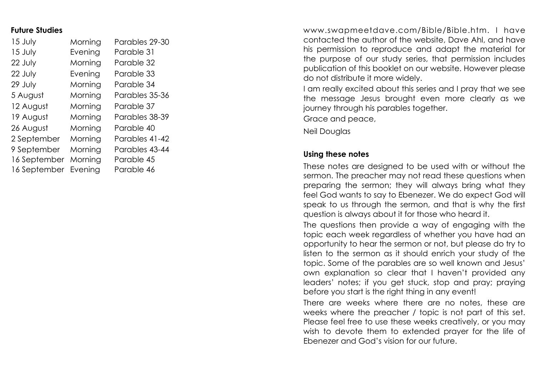#### **Future Studies**

| 15 July      | Morning | Parables 29-30 |
|--------------|---------|----------------|
| 15 July      | Evening | Parable 31     |
| 22 July      | Morning | Parable 32     |
| 22 July      | Evening | Parable 33     |
| 29 July      | Morning | Parable 34     |
| 5 August     | Morning | Parables 35-36 |
| 12 August    | Morning | Parable 37     |
| 19 August    | Morning | Parables 38-39 |
| 26 August    | Morning | Parable 40     |
| 2 September  | Morning | Parables 41-42 |
| 9 September  | Morning | Parables 43-44 |
| 16 September | Morning | Parable 45     |
| 16 September | Evening | Parable 46     |

www.swapmeetdave.com/Bible/Bible.htm. I have contacted the author of the website, Dave Ahl, and have his permission to reproduce and adapt the material for the purpose of our study series, that permission includes publication of this booklet on our website. However please do not distribute it more widely.

I am really excited about this series and I pray that we see the message Jesus brought even more clearly as we journey through his parables together.

Grace and peace,

Neil Douglas

#### **Using these notes**

These notes are designed to be used with or without the sermon. The preacher may not read these questions when preparing the sermon; they will always bring what they feel God wants to say to Ebenezer. We do expect God will speak to us through the sermon, and that is why the first question is always about it for those who heard it.

The questions then provide a way of engaging with the topic each week regardless of whether you have had an opportunity to hear the sermon or not, but please do try to listen to the sermon as it should enrich your study of the topic. Some of the parables are so well known and Jesus' own explanation so clear that I haven't provided any leaders' notes; if you get stuck, stop and pray; praying before you start is the right thing in any event!

There are weeks where there are no notes, these are weeks where the preacher / topic is not part of this set. Please feel free to use these weeks creatively, or you may wish to devote them to extended prayer for the life of Ebenezer and God's vision for our future.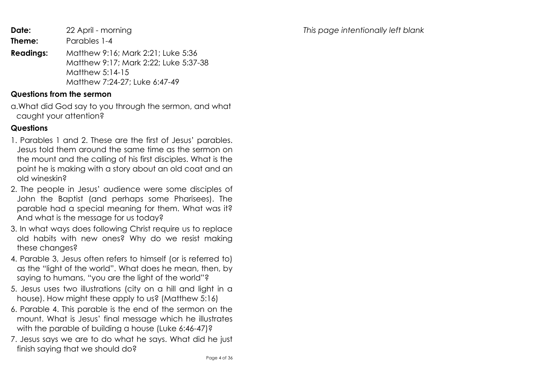*This page intentionally left blank*

**Date:** 22 April - morning

**Theme:** Parables 1-4

**Readings:** Matthew 9:16; Mark 2:21; Luke 5:36 Matthew 9:17; Mark 2:22; Luke 5:37-38 Matthew 5:14-15 Matthew 7:24-27; Luke 6:47-49

#### **Questions from the sermon**

a.What did God say to you through the sermon, and what caught your attention?

#### **Questions**

- 1. Parables 1 and 2. These are the first of Jesus' parables. Jesus told them around the same time as the sermon on the mount and the calling of his first disciples. What is the point he is making with a story about an old coat and an old wineskin?
- 2. The people in Jesus' audience were some disciples of John the Baptist (and perhaps some Pharisees). The parable had a special meaning for them. What was it? And what is the message for us today?
- 3. In what ways does following Christ require us to replace old habits with new ones? Why do we resist making these changes?
- 4. Parable 3, Jesus often refers to himself (or is referred to) as the "light of the world". What does he mean, then, by saying to humans, "you are the light of the world"?
- 5. Jesus uses two illustrations (city on a hill and light in a house). How might these apply to us? (Matthew 5:16)
- 6. Parable 4. This parable is the end of the sermon on the mount. What is Jesus' final message which he illustrates with the parable of building a house (Luke 6:46-47)?
- 7. Jesus says we are to do what he says. What did he just finish saying that we should do?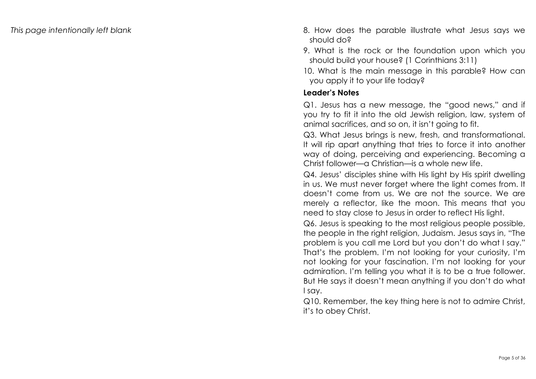- *This page intentionally left blank* 8. How does the parable illustrate what Jesus says we should do?
	- 9. What is the rock or the foundation upon which you should build your house? (1 Corinthians 3:11)
	- 10. What is the main message in this parable? How can you apply it to your life today?

# **Leader's Notes**

Q1. Jesus has a new message, the "good news," and if you try to fit it into the old Jewish religion, law, system of animal sacrifices, and so on, it isn't going to fit.

Q3. What Jesus brings is new, fresh, and transformational. It will rip apart anything that tries to force it into another way of doing, perceiving and experiencing. Becoming a Christ follower—a Christian—is a whole new life.

Q4. Jesus' disciples shine with His light by His spirit dwelling in us. We must never forget where the light comes from. It doesn't come from us. We are not the source. We are merely a reflector, like the moon. This means that you need to stay close to Jesus in order to reflect His light.

Q6. Jesus is speaking to the most religious people possible, the people in the right religion, Judaism. Jesus says in, "The problem is you call me Lord but you don't do what I say." That's the problem. I'm not looking for your curiosity, I'm not looking for your fascination. I'm not looking for your admiration. I'm telling you what it is to be a true follower. But He says it doesn't mean anything if you don't do what I say.

Q10. Remember, the key thing here is not to admire Christ, it's to obey Christ.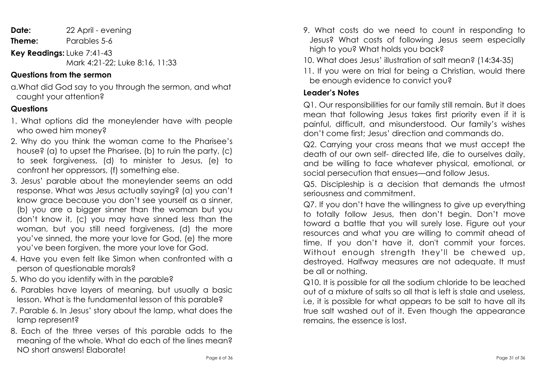**Date:** 22 April - evening

**Theme:** Parables 5-6

**Key Readings:** Luke 7:41-43

#### Mark 4:21-22; Luke 8:16, 11:33

# **Questions from the sermon**

a.What did God say to you through the sermon, and what caught your attention?

# **Questions**

- 1. What options did the moneylender have with people who owed him money?
- 2. Why do you think the woman came to the Pharisee's house? (a) to upset the Pharisee, (b) to ruin the party, (c) to seek forgiveness, (d) to minister to Jesus, (e) to confront her oppressors, (f) something else.
- 3. Jesus' parable about the moneylender seems an odd response. What was Jesus actually saying? (a) you can't know grace because you don't see yourself as a sinner, (b) you are a bigger sinner than the woman but you don't know it, (c) you may have sinned less than the woman, but you still need forgiveness, (d) the more you've sinned, the more your love for God, (e) the more you've been forgiven, the more your love for God.
- 4. Have you even felt like Simon when confronted with a person of questionable morals?
- 5. Who do you identify with in the parable?
- 6. Parables have layers of meaning, but usually a basic lesson. What is the fundamental lesson of this parable?
- 7. Parable 6. In Jesus' story about the lamp, what does the lamp represent?
- 8. Each of the three verses of this parable adds to the meaning of the whole. What do each of the lines mean? NO short answers! Elaborate!
- 9. What costs do we need to count in responding to Jesus? What costs of following Jesus seem especially high to you? What holds you back?
- 10. What does Jesus' illustration of salt mean? (14:34-35)
- 11. If you were on trial for being a Christian, would there be enough evidence to convict you?

# **Leader's Notes**

Q1. Our responsibilities for our family still remain. But it does mean that following Jesus takes first priority even if it is painful, difficult, and misunderstood. Our family's wishes don't come first; Jesus' direction and commands do.

Q2. Carrying your cross means that we must accept the death of our own self- directed life, die to ourselves daily, and be willing to face whatever physical, emotional, or social persecution that ensues—and follow Jesus.

Q5. Discipleship is a decision that demands the utmost seriousness and commitment.

Q7. If you don't have the willingness to give up everything to totally follow Jesus, then don't begin. Don't move toward a battle that you will surely lose. Figure out your resources and what you are willing to commit ahead of time. If you don't have it, don't commit your forces. Without enough strength they'll be chewed up, destroyed. Halfway measures are not adequate. It must be all or nothing.

Q10. It is possible for all the sodium chloride to be leached out of a mixture of salts so all that is left is stale and useless, i.e, it is possible for what appears to be salt to have all its true salt washed out of it. Even though the appearance remains, the essence is lost.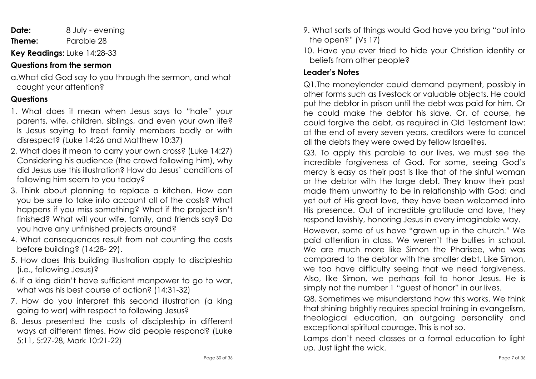**Date:** 8 July - evening **Theme:** Parable 28

**Key Readings:** Luke 14:28-33

# **Questions from the sermon**

a.What did God say to you through the sermon, and what caught your attention?

# **Questions**

- 1. What does it mean when Jesus says to "hate" your parents, wife, children, siblings, and even your own life? Is Jesus saying to treat family members badly or with disrespect? (Luke 14:26 and Matthew 10:37)
- 2. What does it mean to carry your own cross? (Luke 14:27) Considering his audience (the crowd following him), why did Jesus use this illustration? How do Jesus' conditions of following him seem to you today?
- 3. Think about planning to replace a kitchen. How can you be sure to take into account all of the costs? What happens if you miss something? What if the project isn't finished? What will your wife, family, and friends say? Do you have any unfinished projects around?
- 4. What consequences result from not counting the costs before building? (14:28- 29).
- 5. How does this building illustration apply to discipleship (i.e., following Jesus)?
- 6. If a king didn't have sufficient manpower to go to war, what was his best course of action? (14:31-32)
- 7. How do you interpret this second illustration (a king going to war) with respect to following Jesus?
- 8. Jesus presented the costs of discipleship in different ways at different times. How did people respond? (Luke 5:11, 5:27-28, Mark 10:21-22)
- 9. What sorts of things would God have you bring "out into the open?" (Vs 17)
- 10. Have you ever tried to hide your Christian identity or beliefs from other people?

# **Leader's Notes**

Q1.The moneylender could demand payment, possibly in other forms such as livestock or valuable objects. He could put the debtor in prison until the debt was paid for him. Or he could make the debtor his slave. Or, of course, he could forgive the debt, as required in Old Testament law: at the end of every seven years, creditors were to cancel all the debts they were owed by fellow Israelites.

Q3. To apply this parable to our lives, we must see the incredible forgiveness of God. For some, seeing God's mercy is easy as their past is like that of the sinful woman or the debtor with the large debt. They know their past made them unworthy to be in relationship with God; and yet out of His great love, they have been welcomed into His presence. Out of incredible gratitude and love, they respond lavishly, honoring Jesus in every imaginable way.

However, some of us have "grown up in the church." We paid attention in class. We weren't the bullies in school. We are much more like Simon the Pharisee, who was compared to the debtor with the smaller debt. Like Simon, we too have difficulty seeing that we need forgiveness. Also, like Simon, we perhaps fail to honor Jesus. He is simply not the number 1 "guest of honor" in our lives.

Q8. Sometimes we misunderstand how this works. We think that shining brightly requires special training in evangelism, theological education, an outgoing personality and exceptional spiritual courage. This is not so.

Lamps don't need classes or a formal education to light up. Just light the wick.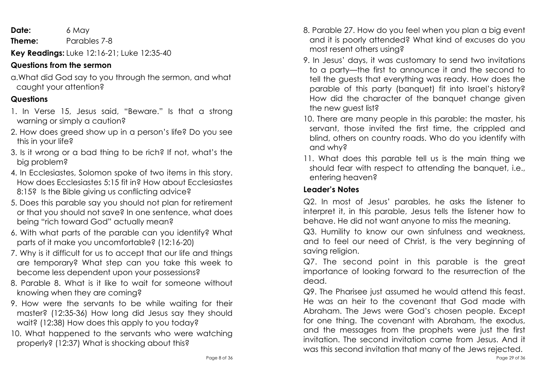**Date:** 6 May

**Theme:** Parables 7-8

**Key Readings:** Luke 12:16-21; Luke 12:35-40

# **Questions from the sermon**

a.What did God say to you through the sermon, and what caught your attention?

# **Questions**

- 1. In Verse 15, Jesus said, "Beware." Is that a strong warning or simply a caution?
- 2. How does greed show up in a person's life? Do you see this in your life?
- 3. Is it wrong or a bad thing to be rich? If not, what's the big problem?
- 4. In Ecclesiastes, Solomon spoke of two items in this story. How does Ecclesiastes 5:15 fit in? How about Ecclesiastes 8:15? Is the Bible giving us conflicting advice?
- 5. Does this parable say you should not plan for retirement or that you should not save? In one sentence, what does being "rich toward God" actually mean?
- 6. With what parts of the parable can you identify? What parts of it make you uncomfortable? (12:16-20)
- 7. Why is it difficult for us to accept that our life and things are temporary? What step can you take this week to become less dependent upon your possessions?
- 8. Parable 8. What is it like to wait for someone without knowing when they are coming?
- 9. How were the servants to be while waiting for their master? (12:35-36) How long did Jesus say they should wait? (12:38) How does this apply to you today?
- 10. What happened to the servants who were watching properly? (12:37) What is shocking about this?
- 8. Parable 27. How do you feel when you plan a big event and it is poorly attended? What kind of excuses do you most resent others using?
- 9. In Jesus' days, it was customary to send two invitations to a party—the first to announce it and the second to tell the guests that everything was ready. How does the parable of this party (banquet) fit into Israel's history? How did the character of the banquet change given the new guest list?
- 10. There are many people in this parable: the master, his servant, those invited the first time, the crippled and blind, others on country roads. Who do you identify with and why?
- 11. What does this parable tell us is the main thing we should fear with respect to attending the banquet, i.e., entering heaven?

# **Leader's Notes**

Q2. In most of Jesus' parables, he asks the listener to interpret it, in this parable, Jesus tells the listener how to behave. He did not want anyone to miss the meaning.

Q3. Humility to know our own sinfulness and weakness, and to feel our need of Christ, is the very beginning of saving religion.

Q7. The second point in this parable is the great importance of looking forward to the resurrection of the dead.

Q9. The Pharisee just assumed he would attend this feast. He was an heir to the covenant that God made with Abraham. The Jews were God's chosen people. Except for one thing. The covenant with Abraham, the exodus, and the messages from the prophets were just the first invitation. The second invitation came from Jesus. And it was this second invitation that many of the Jews rejected.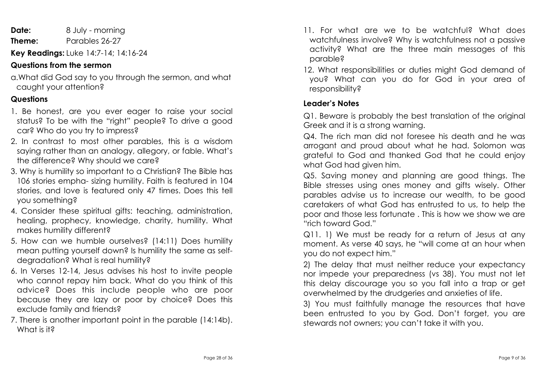**Date:** 8 July - morning **Theme:** Parables 26-27

**Key Readings:** Luke 14:7-14; 14:16-24

# **Questions from the sermon**

a.What did God say to you through the sermon, and what caught your attention?

# **Questions**

- 1. Be honest, are you ever eager to raise your social status? To be with the "right" people? To drive a good car? Who do you try to impress?
- 2. In contrast to most other parables, this is a wisdom saying rather than an analogy, allegory, or fable. What's the difference? Why should we care?
- 3. Why is humility so important to a Christian? The Bible has 106 stories empha- sizing humility. Faith is featured in 104 stories, and love is featured only 47 times. Does this tell you something?
- 4. Consider these spiritual gifts: teaching, administration, healing, prophecy, knowledge, charity, humility. What makes humility different?
- 5. How can we humble ourselves? (14:11) Does humility mean putting yourself down? Is humility the same as selfdegradation? What is real humility?
- 6. In Verses 12-14, Jesus advises his host to invite people who cannot repay him back. What do you think of this advice? Does this include people who are poor because they are lazy or poor by choice? Does this exclude family and friends?
- 7. There is another important point in the parable (14:14b). What is it?
- 11. For what are we to be watchful? What does watchfulness involve? Why is watchfulness not a passive activity? What are the three main messages of this parable?
- 12. What responsibilities or duties might God demand of you? What can you do for God in your area of responsibility?

#### **Leader's Notes**

Q1. Beware is probably the best translation of the original Greek and it is a strong warning.

Q4. The rich man did not foresee his death and he was arrogant and proud about what he had. Solomon was grateful to God and thanked God that he could enjoy what God had given him.

Q5. Saving money and planning are good things. The Bible stresses using ones money and gifts wisely. Other parables advise us to increase our wealth, to be good caretakers of what God has entrusted to us, to help the poor and those less fortunate . This is how we show we are "rich toward God."

Q11. 1) We must be ready for a return of Jesus at any moment. As verse 40 says, he "will come at an hour when you do not expect him."

2) The delay that must neither reduce your expectancy nor impede your preparedness (vs 38). You must not let this delay discourage you so you fall into a trap or get overwhelmed by the drudgeries and anxieties of life.

3) You must faithfully manage the resources that have been entrusted to you by God. Don't forget, you are stewards not owners; you can't take it with you.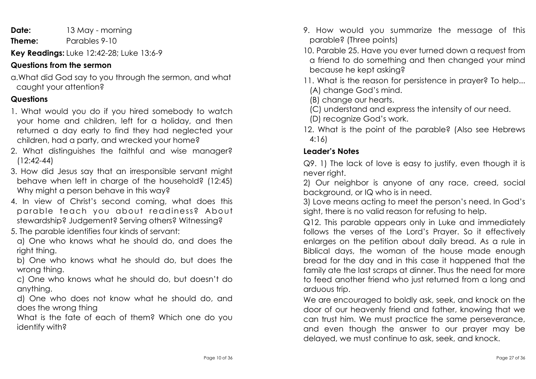**Date:** 13 May - morning **Theme:** Parables 9-10

**Key Readings:** Luke 12:42-28; Luke 13:6-9

# **Questions from the sermon**

a.What did God say to you through the sermon, and what caught your attention?

# **Questions**

- 1. What would you do if you hired somebody to watch your home and children, left for a holiday, and then returned a day early to find they had neglected your children, had a party, and wrecked your home?
- 2. What distinguishes the faithful and wise manager? (12:42-44)
- 3. How did Jesus say that an irresponsible servant might behave when left in charge of the household? (12:45) Why might a person behave in this way?
- 4. In view of Christ's second coming, what does this parable teach you about readiness? About stewardship? Judgement? Serving others? Witnessing?
- 5. The parable identifies four kinds of servant:
- a) One who knows what he should do, and does the right thing.
- b) One who knows what he should do, but does the wrong thing.
- c) One who knows what he should do, but doesn't do anything.
- d) One who does not know what he should do, and does the wrong thing
- What is the fate of each of them? Which one do you identify with?
- 9. How would you summarize the message of this parable? (Three points)
- 10. Parable 25. Have you ever turned down a request from a friend to do something and then changed your mind because he kept asking?
- 11. What is the reason for persistence in prayer? To help... (A) change God's mind.
- (B) change our hearts.
- (C) understand and express the intensity of our need.
- (D) recognize God's work.
- 12. What is the point of the parable? (Also see Hebrews 4:16)

# **Leader's Notes**

Q9. 1) The lack of love is easy to justify, even though it is never right.

2) Our neighbor is anyone of any race, creed, social background, or IQ who is in need.

3) Love means acting to meet the person's need. In God's sight, there is no valid reason for refusing to help.

Q12. This parable appears only in Luke and immediately follows the verses of the Lord's Prayer. So it effectively enlarges on the petition about daily bread. As a rule in Biblical days, the woman of the house made enough bread for the day and in this case it happened that the family ate the last scraps at dinner. Thus the need for more to feed another friend who just returned from a long and arduous trip.

We are encouraged to boldly ask, seek, and knock on the door of our heavenly friend and father, knowing that we can trust him. We must practice the same perseverance, and even though the answer to our prayer may be delayed, we must continue to ask, seek, and knock.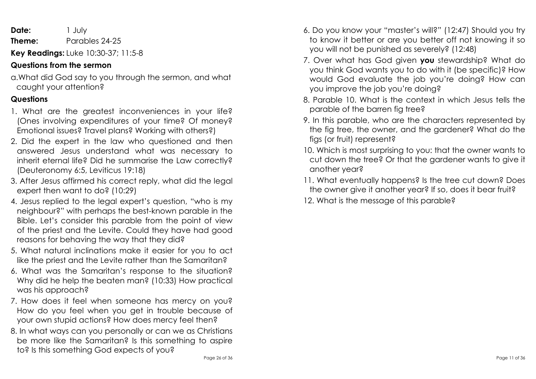| Date:  | 1 July                              |
|--------|-------------------------------------|
| Theme: | Parables 24-25                      |
|        | Key Readings: Luke 10:30-37; 11:5-8 |

#### **Questions from the sermon**

a.What did God say to you through the sermon, and what caught your attention?

# **Questions**

- 1. What are the greatest inconveniences in your life? (Ones involving expenditures of your time? Of money? Emotional issues? Travel plans? Working with others?)
- 2. Did the expert in the law who questioned and then answered Jesus understand what was necessary to inherit eternal life? Did he summarise the Law correctly? (Deuteronomy 6:5, Leviticus 19:18)
- 3. After Jesus affirmed his correct reply, what did the legal expert then want to do? (10:29)
- 4. Jesus replied to the legal expert's question, "who is my neighbour?" with perhaps the best-known parable in the Bible. Let's consider this parable from the point of view of the priest and the Levite. Could they have had good reasons for behaving the way that they did?
- 5. What natural inclinations make it easier for you to act like the priest and the Levite rather than the Samaritan?
- 6. What was the Samaritan's response to the situation? Why did he help the beaten man? (10:33) How practical was his approach?
- 7. How does it feel when someone has mercy on you? How do you feel when you get in trouble because of your own stupid actions? How does mercy feel then?
- 8. In what ways can you personally or can we as Christians be more like the Samaritan? Is this something to aspire to? Is this something God expects of you?
- 6. Do you know your "master's will?" (12:47) Should you try to know it better or are you better off not knowing it so you will not be punished as severely? (12:48)
- 7. Over what has God given **you** stewardship? What do you think God wants you to do with it (be specific)? How would God evaluate the job you're doing? How can you improve the job you're doing?
- 8. Parable 10. What is the context in which Jesus tells the parable of the barren fig tree?
- 9. In this parable, who are the characters represented by the fig tree, the owner, and the gardener? What do the figs (or fruit) represent?
- 10. Which is most surprising to you: that the owner wants to cut down the tree? Or that the gardener wants to give it another year?
- 11. What eventually happens? Is the tree cut down? Does the owner give it another year? If so, does it bear fruit?
- 12. What is the message of this parable?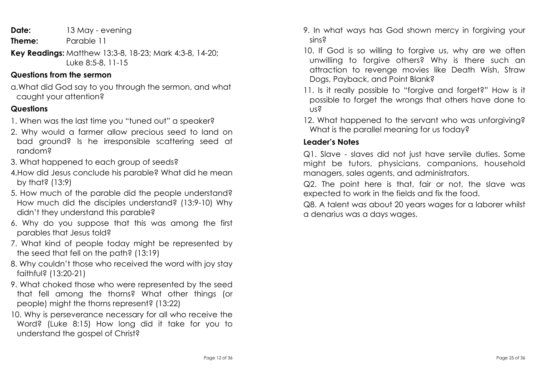**Date:** 13 May - evening

- **Theme:** Parable 11
- **Key Readings:** Matthew 13:3-8, 18-23; Mark 4:3-8, 14-20; Luke 8:5-8, 11-15

#### **Questions from the sermon**

a.What did God say to you through the sermon, and what caught your attention?

# **Questions**

- 1. When was the last time you "tuned out" a speaker?
- 2. Why would a farmer allow precious seed to land on bad ground? Is he irresponsible scattering seed at random?
- 3. What happened to each group of seeds?
- 4.How did Jesus conclude his parable? What did he mean by that? (13:9)
- 5. How much of the parable did the people understand? How much did the disciples understand? (13:9-10) Why didn't they understand this parable?
- 6. Why do you suppose that this was among the first parables that Jesus told?
- 7. What kind of people today might be represented by the seed that fell on the path? (13:19)
- 8. Why couldn't those who received the word with joy stay faithful? (13:20-21)
- 9. What choked those who were represented by the seed that fell among the thorns? What other things (or people) might the thorns represent? (13:22)
- 10. Why is perseverance necessary for all who receive the Word? (Luke 8:15) How long did it take for you to understand the gospel of Christ?
- 9. In what ways has God shown mercy in forgiving your sins?
- 10. If God is so willing to forgive us, why are we often unwilling to forgive others? Why is there such an attraction to revenge movies like Death Wish, Straw Dogs, Payback, and Point Blank?
- 11. Is it really possible to "forgive and forget?" How is it possible to forget the wrongs that others have done to us?
- 12. What happened to the servant who was unforgiving? What is the parallel meaning for us today?

# **Leader's Notes**

Q1. Slave - slaves did not just have servile duties. Some might be tutors, physicians, companions, household managers, sales agents, and administrators.

Q2. The point here is that, fair or not, the slave was expected to work in the fields and fix the food.

Q8. A talent was about 20 years wages for a laborer whilst a denarius was a days wages.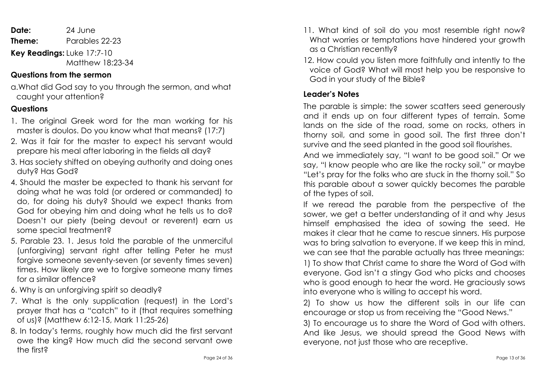**Date:** 24 June **Theme:** Parables 22-23 **Key Readings:** Luke 17:7-10 Matthew 18:23-34

#### **Questions from the sermon**

a.What did God say to you through the sermon, and what caught your attention?

#### **Questions**

- 1. The original Greek word for the man working for his master is doulos. Do you know what that means? (17:7)
- 2. Was it fair for the master to expect his servant would prepare his meal after laboring in the fields all day?
- 3. Has society shifted on obeying authority and doing ones duty? Has God?
- 4. Should the master be expected to thank his servant for doing what he was told (or ordered or commanded) to do, for doing his duty? Should we expect thanks from God for obeying him and doing what he tells us to do? Doesn't our piety (being devout or reverent) earn us some special treatment?
- 5. Parable 23. 1. Jesus told the parable of the unmerciful (unforgiving) servant right after telling Peter he must forgive someone seventy-seven (or seventy times seven) times. How likely are we to forgive someone many times for a similar offence?
- 6. Why is an unforgiving spirit so deadly?
- 7. What is the only supplication (request) in the Lord's prayer that has a "catch" to it (that requires something of us)? (Matthew 6:12-15, Mark 11:25-26)
- 8. In today's terms, roughly how much did the first servant owe the king? How much did the second servant owe the first?
- 11. What kind of soil do you most resemble right now? What worries or temptations have hindered your growth as a Christian recently?
- 12. How could you listen more faithfully and intently to the voice of God? What will most help you be responsive to God in your study of the Bible?

#### **Leader's Notes**

The parable is simple: the sower scatters seed generously and it ends up on four different types of terrain. Some lands on the side of the road, some on rocks, others in thorny soil, and some in good soil. The first three don't survive and the seed planted in the good soil flourishes.

And we immediately say, "I want to be good soil." Or we say, "I know people who are like the rocky soil," or maybe "Let's pray for the folks who are stuck in the thorny soil." So this parable about a sower quickly becomes the parable of the types of soil.

If we reread the parable from the perspective of the sower, we get a better understanding of it and why Jesus himself emphasised the idea of sowing the seed. He makes it clear that he came to rescue sinners. His purpose was to bring salvation to everyone. If we keep this in mind, we can see that the parable actually has three meanings: 1) To show that Christ came to share the Word of God with

everyone. God isn't a stingy God who picks and chooses who is good enough to hear the word. He graciously sows into everyone who is willing to accept his word.

2) To show us how the different soils in our life can encourage or stop us from receiving the "Good News."

3) To encourage us to share the Word of God with others. And like Jesus, we should spread the Good News with everyone, not just those who are receptive.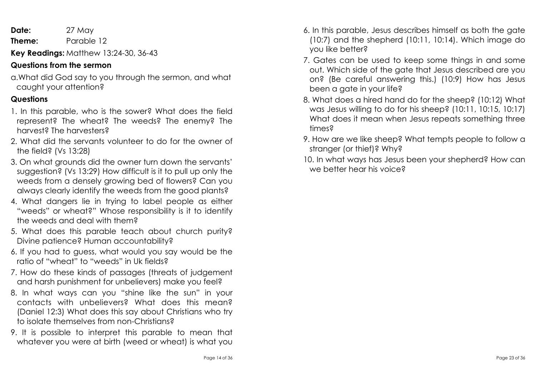**Date:** 27 May

**Theme:** Parable 12

**Key Readings:** Matthew 13:24-30, 36-43

#### **Questions from the sermon**

a.What did God say to you through the sermon, and what caught your attention?

#### **Questions**

- 1. In this parable, who is the sower? What does the field represent? The wheat? The weeds? The enemy? The harvest? The harvesters?
- 2. What did the servants volunteer to do for the owner of the field? (Vs 13:28)
- 3. On what grounds did the owner turn down the servants' suggestion? (Vs 13:29) How difficult is it to pull up only the weeds from a densely growing bed of flowers? Can you always clearly identify the weeds from the good plants?
- 4. What dangers lie in trying to label people as either "weeds" or wheat?" Whose responsibility is it to identify the weeds and deal with them?
- 5. What does this parable teach about church purity? Divine patience? Human accountability?
- 6. If you had to guess, what would you say would be the ratio of "wheat" to "weeds" in Uk fields?
- 7. How do these kinds of passages (threats of judgement and harsh punishment for unbelievers) make you feel?
- 8. In what ways can you "shine like the sun" in your contacts with unbelievers? What does this mean? (Daniel 12:3) What does this say about Christians who try to isolate themselves from non-Christians?
- 9. It is possible to interpret this parable to mean that whatever you were at birth (weed or wheat) is what you
- 6. In this parable, Jesus describes himself as both the gate (10:7) and the shepherd (10:11, 10:14). Which image do you like better?
- 7. Gates can be used to keep some things in and some out. Which side of the gate that Jesus described are you on? (Be careful answering this.) (10:9) How has Jesus been a gate in your life?
- 8. What does a hired hand do for the sheep? (10:12) What was Jesus willing to do for his sheep? (10:11, 10:15, 10:17) What does it mean when Jesus repeats something three times?
- 9. How are we like sheep? What tempts people to follow a stranger (or thief)? Why?
- 10. In what ways has Jesus been your shepherd? How can we better hear his voice?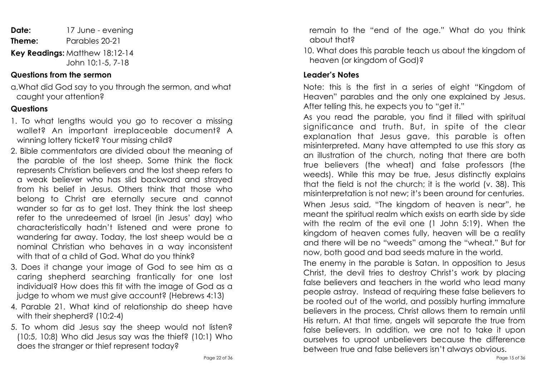**Date:** 17 June - evening **Theme:** Parables 20-21 **Key Readings:** Matthew 18:12-14 John 10:1-5, 7-18

#### **Questions from the sermon**

a.What did God say to you through the sermon, and what caught your attention?

#### **Questions**

- 1. To what lengths would you go to recover a missing wallet? An important irreplaceable document? A winning lottery ticket? Your missing child?
- 2. Bible commentators are divided about the meaning of the parable of the lost sheep. Some think the flock represents Christian believers and the lost sheep refers to a weak believer who has slid backward and strayed from his belief in Jesus. Others think that those who belong to Christ are eternally secure and cannot wander so far as to get lost. They think the lost sheep refer to the unredeemed of Israel (in Jesus' day) who characteristically hadn't listened and were prone to wandering far away. Today, the lost sheep would be a nominal Christian who behaves in a way inconsistent with that of a child of God. What do you think?
- 3. Does it change your image of God to see him as a caring shepherd searching frantically for one lost individual? How does this fit with the image of God as a judge to whom we must give account? (Hebrews 4:13)
- 4. Parable 21. What kind of relationship do sheep have with their shepherd? (10:2-4)
- 5. To whom did Jesus say the sheep would not listen? (10:5, 10:8) Who did Jesus say was the thief? (10:1) Who does the stranger or thief represent today?

remain to the "end of the age." What do you think about that?

10. What does this parable teach us about the kingdom of heaven (or kingdom of God)?

# **Leader's Notes**

Note: this is the first in a series of eight "Kingdom of Heaven" parables and the only one explained by Jesus. After telling this, he expects you to "get it."

As you read the parable, you find it filled with spiritual significance and truth. But, in spite of the clear explanation that Jesus gave, this parable is often misinterpreted. Many have attempted to use this story as an illustration of the church, noting that there are both true believers (the wheat) and false professors (the weeds). While this may be true, Jesus distinctly explains that the field is not the church; it is the world (v. 38). This misinterpretation is not new; it's been around for centuries. When Jesus said, "The kingdom of heaven is near", he meant the spiritual realm which exists on earth side by side with the realm of the evil one (1 John 5:19). When the kingdom of heaven comes fully, heaven will be a reality and there will be no "weeds" among the "wheat." But for now, both good and bad seeds mature in the world.

The enemy in the parable is Satan. In opposition to Jesus Christ, the devil tries to destroy Christ's work by placing false believers and teachers in the world who lead many people astray. Instead of requiring these false believers to be rooted out of the world, and possibly hurting immature believers in the process, Christ allows them to remain until His return. At that time, angels will separate the true from false believers. In addition, we are not to take it upon ourselves to uproot unbelievers because the difference between true and false believers isn't always obvious.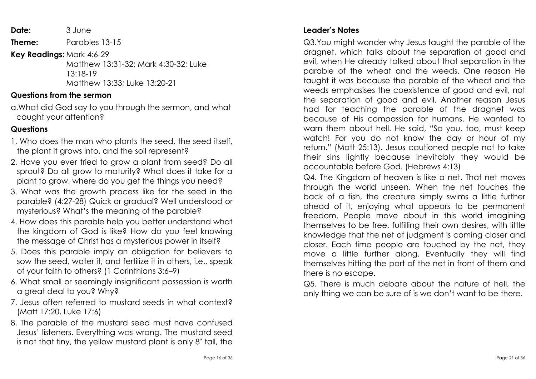**Date:** 3 June

**Theme:** Parables 13-15

**Key Readings:** Mark 4:6-29

 Matthew 13:31-32; Mark 4:30-32; Luke 13:18-19 Matthew 13:33; Luke 13:20-21

#### **Questions from the sermon**

a.What did God say to you through the sermon, and what caught your attention?

#### **Questions**

- 1. Who does the man who plants the seed, the seed itself, the plant it grows into, and the soil represent?
- 2. Have you ever tried to grow a plant from seed? Do all sprout? Do all grow to maturity? What does it take for a plant to grow, where do you get the things you need?
- 3. What was the growth process like for the seed in the parable? (4:27-28) Quick or gradual? Well understood or mysterious? What's the meaning of the parable?
- 4. How does this parable help you better understand what the kingdom of God is like? How do you feel knowing the message of Christ has a mysterious power in itself?
- 5. Does this parable imply an obligation for believers to sow the seed, water it, and fertilize it in others, i.e., speak of your faith to others? (1 Corinthians 3:6–9)
- 6. What small or seemingly insignificant possession is worth a great deal to you? Why?
- 7. Jesus often referred to mustard seeds in what context? (Matt 17:20, Luke 17:6)
- 8. The parable of the mustard seed must have confused Jesus' listeners. Everything was wrong. The mustard seed is not that tiny, the yellow mustard plant is only 8" tall, the

Q3.You might wonder why Jesus taught the parable of the dragnet, which talks about the separation of good and evil, when He already talked about that separation in the parable of the wheat and the weeds. One reason He taught it was because the parable of the wheat and the weeds emphasises the coexistence of good and evil, not the separation of good and evil. Another reason Jesus had for teaching the parable of the dragnet was because of His compassion for humans. He wanted to warn them about hell. He said, "So you, too, must keep watch! For you do not know the day or hour of my return." (Matt 25:13). Jesus cautioned people not to take their sins lightly because inevitably they would be accountable before God. (Hebrews 4:13)

Q4. The Kingdom of heaven is like a net. That net moves through the world unseen. When the net touches the back of a fish, the creature simply swims a little further ahead of it, enjoying what appears to be permanent freedom. People move about in this world imagining themselves to be free, fulfilling their own desires, with little knowledge that the net of judgment is coming closer and closer. Each time people are touched by the net, they move a little further along. Eventually they will find themselves hitting the part of the net in front of them and there is no escape.

Q5. There is much debate about the nature of hell, the only thing we can be sure of is we don't want to be there.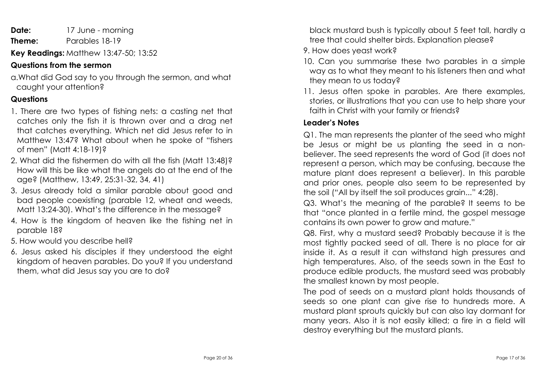**Date:** 17 June - morning **Theme:** Parables 18-19

**Key Readings:** Matthew 13:47-50; 13:52

# **Questions from the sermon**

a.What did God say to you through the sermon, and what caught your attention?

# **Questions**

- 1. There are two types of fishing nets: a casting net that catches only the fish it is thrown over and a drag net that catches everything. Which net did Jesus refer to in Matthew 13:47? What about when he spoke of "fishers of men" (Matt 4:18-19)?
- 2. What did the fishermen do with all the fish (Matt 13:48)? How will this be like what the angels do at the end of the age? (Matthew, 13:49, 25:31-32, 34, 41)
- 3. Jesus already told a similar parable about good and bad people coexisting (parable 12, wheat and weeds, Matt 13:24-30). What's the difference in the message?
- 4. How is the kingdom of heaven like the fishing net in parable 18?
- 5. How would you describe hell?
- 6. Jesus asked his disciples if they understood the eight kingdom of heaven parables. Do you? If you understand them, what did Jesus say you are to do?

black mustard bush is typically about 5 feet tall, hardly a tree that could shelter birds. Explanation please?

- 9. How does yeast work?
- 10. Can you summarise these two parables in a simple way as to what they meant to his listeners then and what they mean to us today?
- 11. Jesus often spoke in parables. Are there examples, stories, or illustrations that you can use to help share your faith in Christ with your family or friends?

# **Leader's Notes**

Q1. The man represents the planter of the seed who might be Jesus or might be us planting the seed in a nonbeliever. The seed represents the word of God (it does not represent a person, which may be confusing, because the mature plant does represent a believer). In this parable and prior ones, people also seem to be represented by the soil ("All by itself the soil produces grain..." 4:28).

Q3. What's the meaning of the parable? It seems to be that "once planted in a fertile mind, the gospel message contains its own power to grow and mature."

Q8. First, why a mustard seed? Probably because it is the most tightly packed seed of all. There is no place for air inside it. As a result it can withstand high pressures and high temperatures. Also, of the seeds sown in the East to produce edible products, the mustard seed was probably the smallest known by most people.

The pod of seeds on a mustard plant holds thousands of seeds so one plant can give rise to hundreds more. A mustard plant sprouts quickly but can also lay dormant for many years. Also it is not easily killed; a fire in a field will destroy everything but the mustard plants.